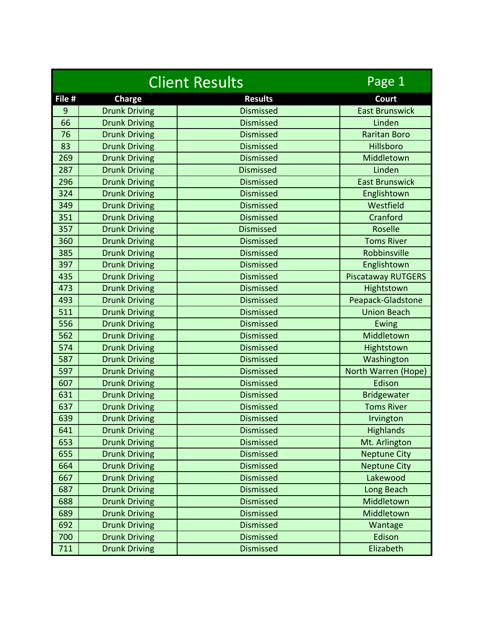|        | <b>Client Results</b> | Page 1           |                           |
|--------|-----------------------|------------------|---------------------------|
| File # | <b>Charge</b>         | <b>Results</b>   | Court                     |
| 9      | <b>Drunk Driving</b>  | <b>Dismissed</b> | <b>East Brunswick</b>     |
| 66     | <b>Drunk Driving</b>  | <b>Dismissed</b> | Linden                    |
| 76     | <b>Drunk Driving</b>  | <b>Dismissed</b> | <b>Raritan Boro</b>       |
| 83     | <b>Drunk Driving</b>  | <b>Dismissed</b> | Hillsboro                 |
| 269    | <b>Drunk Driving</b>  | <b>Dismissed</b> | Middletown                |
| 287    | <b>Drunk Driving</b>  | <b>Dismissed</b> | Linden                    |
| 296    | <b>Drunk Driving</b>  | <b>Dismissed</b> | <b>East Brunswick</b>     |
| 324    | <b>Drunk Driving</b>  | <b>Dismissed</b> | Englishtown               |
| 349    | <b>Drunk Driving</b>  | <b>Dismissed</b> | Westfield                 |
| 351    | <b>Drunk Driving</b>  | <b>Dismissed</b> | Cranford                  |
| 357    | <b>Drunk Driving</b>  | <b>Dismissed</b> | Roselle                   |
| 360    | <b>Drunk Driving</b>  | <b>Dismissed</b> | <b>Toms River</b>         |
| 385    | <b>Drunk Driving</b>  | <b>Dismissed</b> | Robbinsville              |
| 397    | <b>Drunk Driving</b>  | <b>Dismissed</b> | Englishtown               |
| 435    | <b>Drunk Driving</b>  | <b>Dismissed</b> | <b>Piscataway RUTGERS</b> |
| 473    | <b>Drunk Driving</b>  | <b>Dismissed</b> | Hightstown                |
| 493    | <b>Drunk Driving</b>  | <b>Dismissed</b> | Peapack-Gladstone         |
| 511    | <b>Drunk Driving</b>  | <b>Dismissed</b> | <b>Union Beach</b>        |
| 556    | <b>Drunk Driving</b>  | <b>Dismissed</b> | Ewing                     |
| 562    | <b>Drunk Driving</b>  | <b>Dismissed</b> | Middletown                |
| 574    | <b>Drunk Driving</b>  | <b>Dismissed</b> | Hightstown                |
| 587    | <b>Drunk Driving</b>  | <b>Dismissed</b> | Washington                |
| 597    | <b>Drunk Driving</b>  | <b>Dismissed</b> | North Warren (Hope)       |
| 607    | <b>Drunk Driving</b>  | <b>Dismissed</b> | Edison                    |
| 631    | <b>Drunk Driving</b>  | <b>Dismissed</b> | <b>Bridgewater</b>        |
| 637    | <b>Drunk Driving</b>  | <b>Dismissed</b> | <b>Toms River</b>         |
| 639    | <b>Drunk Driving</b>  | <b>Dismissed</b> | Irvington                 |
| 641    | <b>Drunk Driving</b>  | <b>Dismissed</b> | <b>Highlands</b>          |
| 653    | <b>Drunk Driving</b>  | <b>Dismissed</b> | Mt. Arlington             |
| 655    | <b>Drunk Driving</b>  | <b>Dismissed</b> | <b>Neptune City</b>       |
| 664    | <b>Drunk Driving</b>  | <b>Dismissed</b> | <b>Neptune City</b>       |
| 667    | <b>Drunk Driving</b>  | <b>Dismissed</b> | Lakewood                  |
| 687    | <b>Drunk Driving</b>  | <b>Dismissed</b> | Long Beach                |
| 688    | <b>Drunk Driving</b>  | <b>Dismissed</b> | Middletown                |
| 689    | <b>Drunk Driving</b>  | <b>Dismissed</b> | Middletown                |
| 692    | <b>Drunk Driving</b>  | <b>Dismissed</b> | Wantage                   |
| 700    | <b>Drunk Driving</b>  | <b>Dismissed</b> | Edison                    |
| 711    | <b>Drunk Driving</b>  | <b>Dismissed</b> | Elizabeth                 |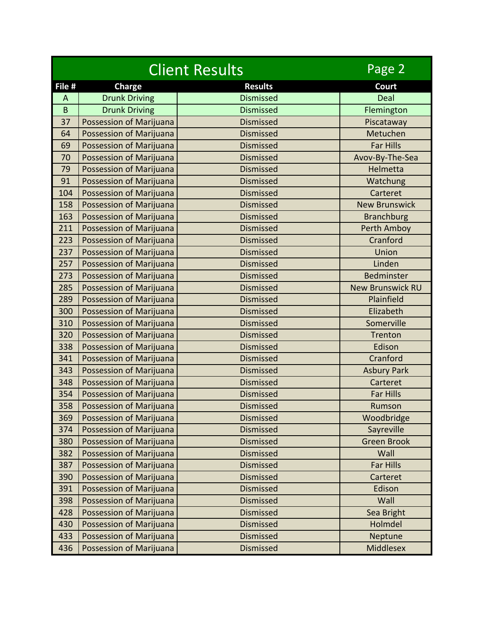|             |                         | <b>Client Results</b> | Page 2                  |
|-------------|-------------------------|-----------------------|-------------------------|
| File #      | <b>Charge</b>           | <b>Results</b>        | Court                   |
| A           | <b>Drunk Driving</b>    | <b>Dismissed</b>      | Deal                    |
| $\mathsf B$ | <b>Drunk Driving</b>    | <b>Dismissed</b>      | Flemington              |
| 37          | Possession of Marijuana | <b>Dismissed</b>      | Piscataway              |
| 64          | Possession of Marijuana | <b>Dismissed</b>      | Metuchen                |
| 69          | Possession of Marijuana | <b>Dismissed</b>      | <b>Far Hills</b>        |
| 70          | Possession of Marijuana | <b>Dismissed</b>      | Avov-By-The-Sea         |
| 79          | Possession of Marijuana | <b>Dismissed</b>      | Helmetta                |
| 91          | Possession of Marijuana | <b>Dismissed</b>      | Watchung                |
| 104         | Possession of Marijuana | <b>Dismissed</b>      | Carteret                |
| 158         | Possession of Marijuana | <b>Dismissed</b>      | <b>New Brunswick</b>    |
| 163         | Possession of Marijuana | <b>Dismissed</b>      | <b>Branchburg</b>       |
| 211         | Possession of Marijuana | <b>Dismissed</b>      | <b>Perth Amboy</b>      |
| 223         | Possession of Marijuana | <b>Dismissed</b>      | Cranford                |
| 237         | Possession of Marijuana | <b>Dismissed</b>      | Union                   |
| 257         | Possession of Marijuana | <b>Dismissed</b>      | Linden                  |
| 273         | Possession of Marijuana | <b>Dismissed</b>      | <b>Bedminster</b>       |
| 285         | Possession of Marijuana | <b>Dismissed</b>      | <b>New Brunswick RU</b> |
| 289         | Possession of Marijuana | <b>Dismissed</b>      | Plainfield              |
| 300         | Possession of Marijuana | <b>Dismissed</b>      | Elizabeth               |
| 310         | Possession of Marijuana | <b>Dismissed</b>      | Somerville              |
| 320         | Possession of Marijuana | <b>Dismissed</b>      | Trenton                 |
| 338         | Possession of Marijuana | <b>Dismissed</b>      | Edison                  |
| 341         | Possession of Marijuana | <b>Dismissed</b>      | Cranford                |
| 343         | Possession of Marijuana | <b>Dismissed</b>      | <b>Asbury Park</b>      |
| 348         | Possession of Marijuana | <b>Dismissed</b>      | Carteret                |
| 354         | Possession of Marijuana | <b>Dismissed</b>      | <b>Far Hills</b>        |
| 358         | Possession of Marijuana | <b>Dismissed</b>      | Rumson                  |
| 369         | Possession of Marijuana | Dismissed             | Woodbridge              |
| 374         | Possession of Marijuana | Dismissed             | Sayreville              |
| 380         | Possession of Marijuana | Dismissed             | <b>Green Brook</b>      |
| 382         | Possession of Marijuana | <b>Dismissed</b>      | Wall                    |
| 387         | Possession of Marijuana | Dismissed             | Far Hills               |
| 390         | Possession of Marijuana | <b>Dismissed</b>      | Carteret                |
| 391         | Possession of Marijuana | Dismissed             | Edison                  |
| 398         | Possession of Marijuana | Dismissed             | Wall                    |
| 428         | Possession of Marijuana | Dismissed             | Sea Bright              |
| 430         | Possession of Marijuana | Dismissed             | Holmdel                 |
| 433         | Possession of Marijuana | Dismissed             | Neptune                 |
| 436         | Possession of Marijuana | Dismissed             | <b>Middlesex</b>        |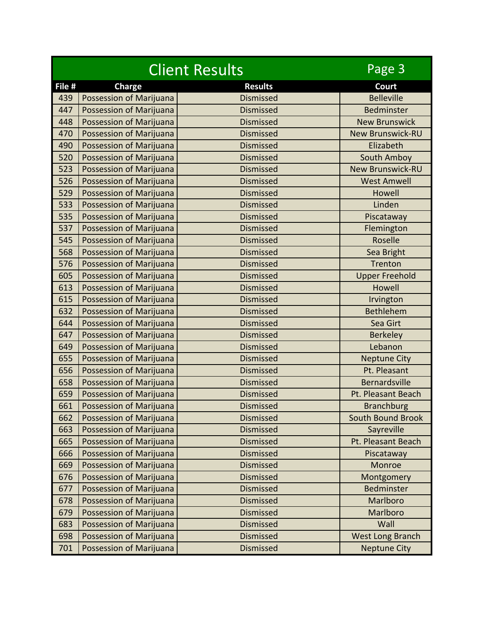| <b>Client Results</b> |                         | Page 3           |                          |
|-----------------------|-------------------------|------------------|--------------------------|
| File #                | <b>Charge</b>           | <b>Results</b>   | Court                    |
| 439                   | Possession of Marijuana | <b>Dismissed</b> | <b>Belleville</b>        |
| 447                   | Possession of Marijuana | <b>Dismissed</b> | <b>Bedminster</b>        |
| 448                   | Possession of Marijuana | <b>Dismissed</b> | <b>New Brunswick</b>     |
| 470                   | Possession of Marijuana | <b>Dismissed</b> | <b>New Brunswick-RU</b>  |
| 490                   | Possession of Marijuana | <b>Dismissed</b> | Elizabeth                |
| 520                   | Possession of Marijuana | <b>Dismissed</b> | South Amboy              |
| 523                   | Possession of Marijuana | <b>Dismissed</b> | <b>New Brunswick-RU</b>  |
| 526                   | Possession of Marijuana | <b>Dismissed</b> | <b>West Amwell</b>       |
| 529                   | Possession of Marijuana | <b>Dismissed</b> | Howell                   |
| 533                   | Possession of Marijuana | <b>Dismissed</b> | Linden                   |
| 535                   | Possession of Marijuana | <b>Dismissed</b> | Piscataway               |
| 537                   | Possession of Marijuana | <b>Dismissed</b> | Flemington               |
| 545                   | Possession of Marijuana | <b>Dismissed</b> | Roselle                  |
| 568                   | Possession of Marijuana | <b>Dismissed</b> | Sea Bright               |
| 576                   | Possession of Marijuana | <b>Dismissed</b> | Trenton                  |
| 605                   | Possession of Marijuana | <b>Dismissed</b> | <b>Upper Freehold</b>    |
| 613                   | Possession of Marijuana | <b>Dismissed</b> | Howell                   |
| 615                   | Possession of Marijuana | <b>Dismissed</b> | Irvington                |
| 632                   | Possession of Marijuana | <b>Dismissed</b> | <b>Bethlehem</b>         |
| 644                   | Possession of Marijuana | <b>Dismissed</b> | Sea Girt                 |
| 647                   | Possession of Marijuana | <b>Dismissed</b> | <b>Berkeley</b>          |
| 649                   | Possession of Marijuana | <b>Dismissed</b> | Lebanon                  |
| 655                   | Possession of Marijuana | <b>Dismissed</b> | <b>Neptune City</b>      |
| 656                   | Possession of Marijuana | <b>Dismissed</b> | Pt. Pleasant             |
| 658                   | Possession of Marijuana | <b>Dismissed</b> | Bernardsville            |
| 659                   | Possession of Marijuana | <b>Dismissed</b> | Pt. Pleasant Beach       |
| 661                   | Possession of Marijuana | <b>Dismissed</b> | <b>Branchburg</b>        |
| 662                   | Possession of Marijuana | <b>Dismissed</b> | <b>South Bound Brook</b> |
| 663                   | Possession of Marijuana | <b>Dismissed</b> | Sayreville               |
| 665                   | Possession of Marijuana | <b>Dismissed</b> | Pt. Pleasant Beach       |
| 666                   | Possession of Marijuana | <b>Dismissed</b> | Piscataway               |
| 669                   | Possession of Marijuana | <b>Dismissed</b> | Monroe                   |
| 676                   | Possession of Marijuana | <b>Dismissed</b> | Montgomery               |
| 677                   | Possession of Marijuana | <b>Dismissed</b> | Bedminster               |
| 678                   | Possession of Marijuana | <b>Dismissed</b> | Marlboro                 |
| 679                   | Possession of Marijuana | <b>Dismissed</b> | Marlboro                 |
| 683                   | Possession of Marijuana | <b>Dismissed</b> | Wall                     |
| 698                   | Possession of Marijuana | <b>Dismissed</b> | West Long Branch         |
| 701                   | Possession of Marijuana | <b>Dismissed</b> | <b>Neptune City</b>      |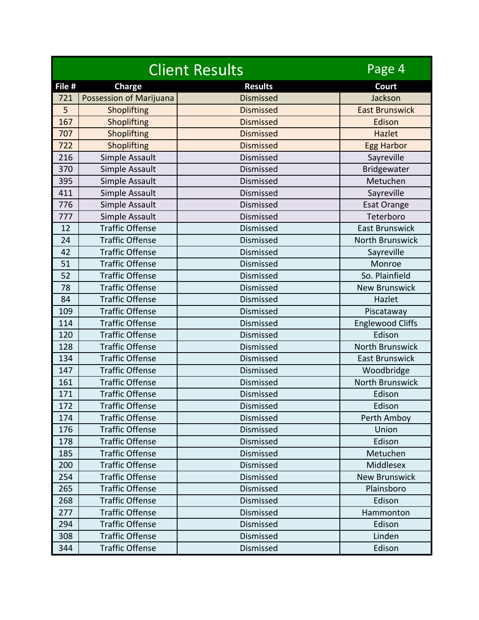| <b>Client Results</b> |                                | Page 4           |                         |
|-----------------------|--------------------------------|------------------|-------------------------|
| File #                | <b>Charge</b>                  | <b>Results</b>   | <b>Court</b>            |
| 721                   | <b>Possession of Marijuana</b> | <b>Dismissed</b> | Jackson                 |
| 5                     | Shoplifting                    | <b>Dismissed</b> | <b>East Brunswick</b>   |
| 167                   | Shoplifting                    | <b>Dismissed</b> | Edison                  |
| 707                   | Shoplifting                    | <b>Dismissed</b> | Hazlet                  |
| 722                   | Shoplifting                    | <b>Dismissed</b> | <b>Egg Harbor</b>       |
| 216                   | Simple Assault                 | Dismissed        | Sayreville              |
| 370                   | Simple Assault                 | Dismissed        | Bridgewater             |
| 395                   | Simple Assault                 | <b>Dismissed</b> | Metuchen                |
| 411                   | Simple Assault                 | Dismissed        | Sayreville              |
| 776                   | Simple Assault                 | Dismissed        | <b>Esat Orange</b>      |
| 777                   | Simple Assault                 | Dismissed        | Teterboro               |
| 12                    | <b>Traffic Offense</b>         | Dismissed        | <b>East Brunswick</b>   |
| 24                    | <b>Traffic Offense</b>         | Dismissed        | <b>North Brunswick</b>  |
| 42                    | <b>Traffic Offense</b>         | Dismissed        | Sayreville              |
| 51                    | <b>Traffic Offense</b>         | Dismissed        | Monroe                  |
| 52                    | <b>Traffic Offense</b>         | Dismissed        | So. Plainfield          |
| 78                    | <b>Traffic Offense</b>         | Dismissed        | <b>New Brunswick</b>    |
| 84                    | <b>Traffic Offense</b>         | Dismissed        | Hazlet                  |
| 109                   | <b>Traffic Offense</b>         | Dismissed        | Piscataway              |
| 114                   | <b>Traffic Offense</b>         | Dismissed        | <b>Englewood Cliffs</b> |
| 120                   | <b>Traffic Offense</b>         | Dismissed        | Edison                  |
| 128                   | <b>Traffic Offense</b>         | Dismissed        | <b>North Brunswick</b>  |
| 134                   | <b>Traffic Offense</b>         | Dismissed        | <b>East Brunswick</b>   |
| 147                   | <b>Traffic Offense</b>         | Dismissed        | Woodbridge              |
| 161                   | <b>Traffic Offense</b>         | Dismissed        | <b>North Brunswick</b>  |
| 171                   | <b>Traffic Offense</b>         | Dismissed        | Edison                  |
| 172                   | <b>Traffic Offense</b>         | Dismissed        | Edison                  |
| 174                   | <b>Traffic Offense</b>         | Dismissed        | Perth Amboy             |
| 176                   | <b>Traffic Offense</b>         | Dismissed        | Union                   |
| 178                   | <b>Traffic Offense</b>         | Dismissed        | Edison                  |
| 185                   | <b>Traffic Offense</b>         | Dismissed        | Metuchen                |
| 200                   | <b>Traffic Offense</b>         | Dismissed        | Middlesex               |
| 254                   | <b>Traffic Offense</b>         | Dismissed        | <b>New Brunswick</b>    |
| 265                   | <b>Traffic Offense</b>         | Dismissed        | Plainsboro              |
| 268                   | <b>Traffic Offense</b>         | Dismissed        | Edison                  |
| 277                   | <b>Traffic Offense</b>         | Dismissed        | Hammonton               |
| 294                   | <b>Traffic Offense</b>         | Dismissed        | Edison                  |
| 308                   | <b>Traffic Offense</b>         | Dismissed        | Linden                  |
| 344                   | <b>Traffic Offense</b>         | Dismissed        | Edison                  |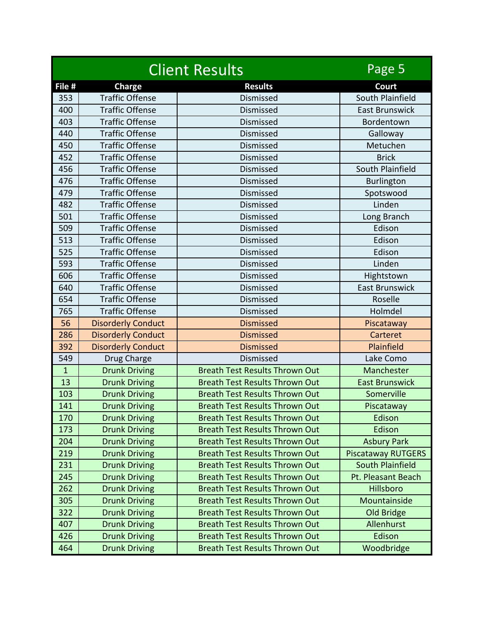| <b>Client Results</b> |                           |                                       | Page 5                    |
|-----------------------|---------------------------|---------------------------------------|---------------------------|
| File #                | <b>Charge</b>             | <b>Results</b>                        | <b>Court</b>              |
| 353                   | <b>Traffic Offense</b>    | Dismissed                             | South Plainfield          |
| 400                   | <b>Traffic Offense</b>    | Dismissed                             | <b>East Brunswick</b>     |
| 403                   | <b>Traffic Offense</b>    | Dismissed                             | Bordentown                |
| 440                   | <b>Traffic Offense</b>    | Dismissed                             | Galloway                  |
| 450                   | <b>Traffic Offense</b>    | Dismissed                             | Metuchen                  |
| 452                   | <b>Traffic Offense</b>    | Dismissed                             | <b>Brick</b>              |
| 456                   | <b>Traffic Offense</b>    | Dismissed                             | South Plainfield          |
| 476                   | <b>Traffic Offense</b>    | Dismissed                             | <b>Burlington</b>         |
| 479                   | <b>Traffic Offense</b>    | Dismissed                             | Spotswood                 |
| 482                   | <b>Traffic Offense</b>    | Dismissed                             | Linden                    |
| 501                   | <b>Traffic Offense</b>    | Dismissed                             | Long Branch               |
| 509                   | <b>Traffic Offense</b>    | Dismissed                             | Edison                    |
| 513                   | <b>Traffic Offense</b>    | Dismissed                             | Edison                    |
| 525                   | <b>Traffic Offense</b>    | Dismissed                             | Edison                    |
| 593                   | <b>Traffic Offense</b>    | Dismissed                             | Linden                    |
| 606                   | <b>Traffic Offense</b>    | Dismissed                             | Hightstown                |
| 640                   | <b>Traffic Offense</b>    | Dismissed                             | <b>East Brunswick</b>     |
| 654                   | <b>Traffic Offense</b>    | Dismissed                             | Roselle                   |
| 765                   | <b>Traffic Offense</b>    | Dismissed                             | Holmdel                   |
| 56                    | <b>Disorderly Conduct</b> | <b>Dismissed</b>                      | Piscataway                |
| 286                   | <b>Disorderly Conduct</b> | <b>Dismissed</b>                      | Carteret                  |
| 392                   | <b>Disorderly Conduct</b> | <b>Dismissed</b>                      | Plainfield                |
| 549                   | Drug Charge               | Dismissed                             | Lake Como                 |
| $\mathbf{1}$          | <b>Drunk Driving</b>      | <b>Breath Test Results Thrown Out</b> | Manchester                |
| 13                    | <b>Drunk Driving</b>      | <b>Breath Test Results Thrown Out</b> | <b>East Brunswick</b>     |
| 103                   | <b>Drunk Driving</b>      | <b>Breath Test Results Thrown Out</b> | Somerville                |
| 141                   | <b>Drunk Driving</b>      | <b>Breath Test Results Thrown Out</b> | Piscataway                |
| 170                   | <b>Drunk Driving</b>      | <b>Breath Test Results Thrown Out</b> | Edison                    |
| 173                   | <b>Drunk Driving</b>      | <b>Breath Test Results Thrown Out</b> | Edison                    |
| 204                   | <b>Drunk Driving</b>      | <b>Breath Test Results Thrown Out</b> | <b>Asbury Park</b>        |
| 219                   | <b>Drunk Driving</b>      | <b>Breath Test Results Thrown Out</b> | <b>Piscataway RUTGERS</b> |
| 231                   | <b>Drunk Driving</b>      | <b>Breath Test Results Thrown Out</b> | <b>South Plainfield</b>   |
| 245                   | <b>Drunk Driving</b>      | <b>Breath Test Results Thrown Out</b> | Pt. Pleasant Beach        |
| 262                   | <b>Drunk Driving</b>      | <b>Breath Test Results Thrown Out</b> | Hillsboro                 |
| 305                   | <b>Drunk Driving</b>      | <b>Breath Test Results Thrown Out</b> | Mountainside              |
| 322                   | <b>Drunk Driving</b>      | <b>Breath Test Results Thrown Out</b> | Old Bridge                |
| 407                   | <b>Drunk Driving</b>      | <b>Breath Test Results Thrown Out</b> | Allenhurst                |
| 426                   | <b>Drunk Driving</b>      | <b>Breath Test Results Thrown Out</b> | Edison                    |
| 464                   | <b>Drunk Driving</b>      | <b>Breath Test Results Thrown Out</b> | Woodbridge                |